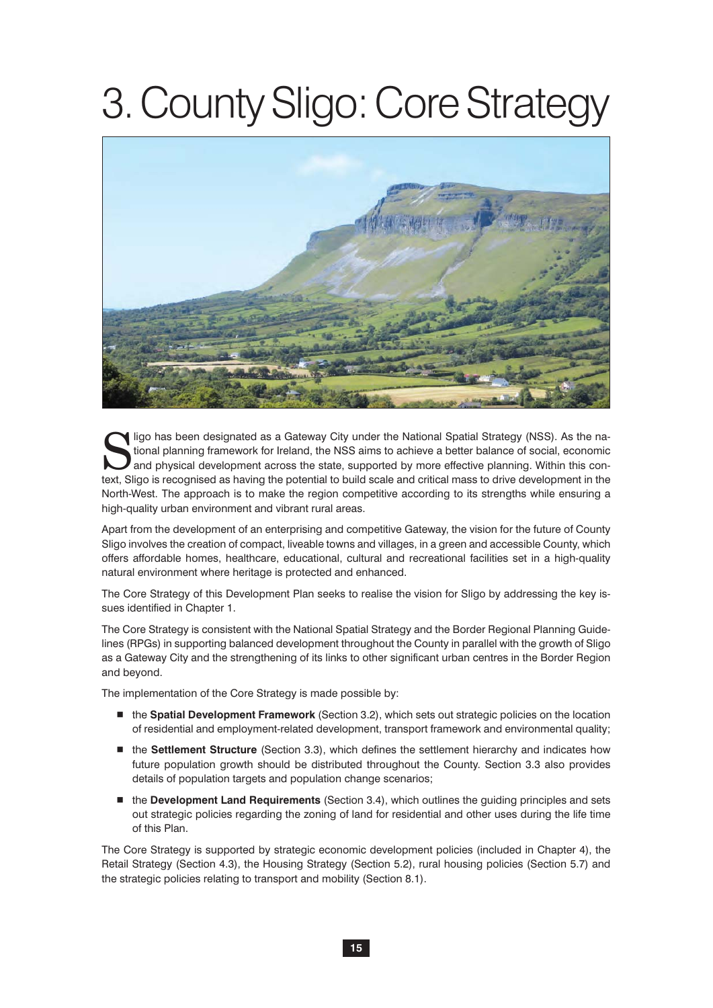# 3. County Sligo: Core Strategy



Sligo has been designated as a Gateway City under the National Spatial Strategy (NSS). As the national planning framework for Ireland, the NSS aims to achieve a better balance of social, economic and physical development a tional planning framework for Ireland, the NSS aims to achieve a better balance of social, economic and physical development across the state, supported by more effective planning. Within this context, Sligo is recognised as having the potential to build scale and critical mass to drive development in the North-West. The approach is to make the region competitive according to its strengths while ensuring a high-quality urban environment and vibrant rural areas.

Apart from the development of an enterprising and competitive Gateway, the vision for the future of County Sligo involves the creation of compact, liveable towns and villages, in a green and accessible County, which offers affordable homes, healthcare, educational, cultural and recreational facilities set in a high-quality natural environment where heritage is protected and enhanced.

The Core Strategy of this Development Plan seeks to realise the vision for Sligo by addressing the key issues identified in Chapter 1.

The Core Strategy is consistent with the National Spatial Strategy and the Border Regional Planning Guidelines (RPGs) in supporting balanced development throughout the County in parallel with the growth of Sligo as a Gateway City and the strengthening of its links to other significant urban centres in the Border Region and beyond.

The implementation of the Core Strategy is made possible by:

- the **Spatial Development Framework** (Section 3.2), which sets out strategic policies on the location of residential and employment-related development, transport framework and environmental quality;
- the **Settlement Structure** (Section 3.3), which defines the settlement hierarchy and indicates how future population growth should be distributed throughout the County. Section 3.3 also provides details of population targets and population change scenarios;
- the Development Land Requirements (Section 3.4), which outlines the guiding principles and sets out strategic policies regarding the zoning of land for residential and other uses during the life time of this Plan.

The Core Strategy is supported by strategic economic development policies (included in Chapter 4), the Retail Strategy (Section 4.3), the Housing Strategy (Section 5.2), rural housing policies (Section 5.7) and the strategic policies relating to transport and mobility (Section 8.1).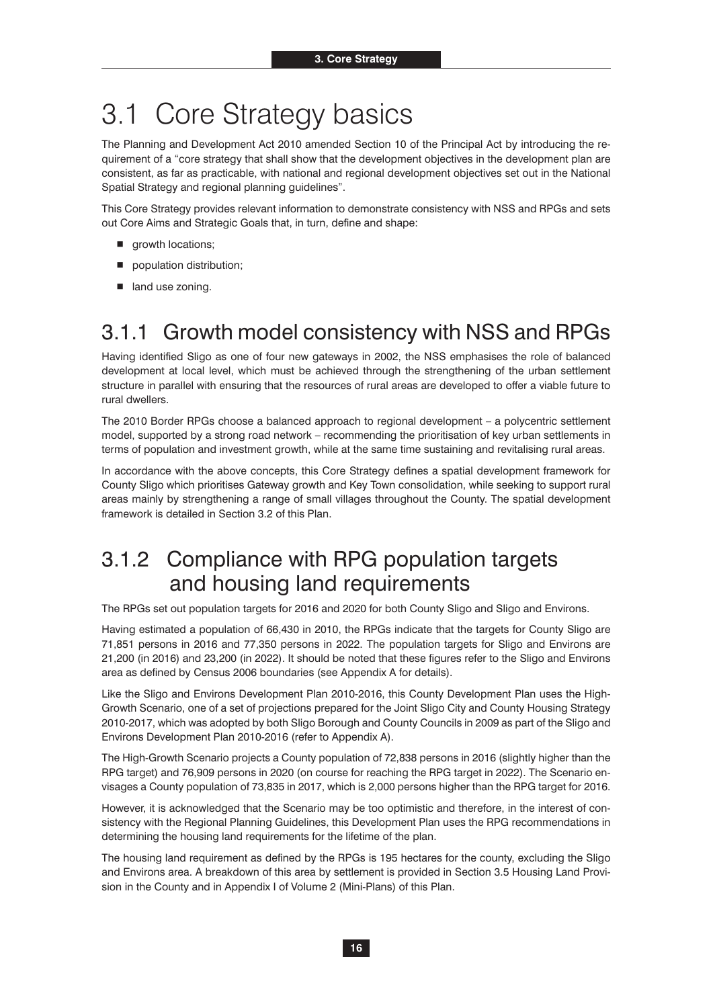# 3.1 Core Strategy basics

The Planning and Development Act 2010 amended Section 10 of the Principal Act by introducing the requirement of a "core strategy that shall show that the development objectives in the development plan are consistent, as far as practicable, with national and regional development objectives set out in the National Spatial Strategy and regional planning guidelines".

This Core Strategy provides relevant information to demonstrate consistency with NSS and RPGs and sets out Core Aims and Strategic Goals that, in turn, define and shape:

- **growth locations;**
- **population distribution;**
- **n** land use zoning.

### 3.1.1 Growth model consistency with NSS and RPGs

Having identified Sligo as one of four new gateways in 2002, the NSS emphasises the role of balanced development at local level, which must be achieved through the strengthening of the urban settlement structure in parallel with ensuring that the resources of rural areas are developed to offer a viable future to rural dwellers.

The 2010 Border RPGs choose a balanced approach to regional development – a polycentric settlement model, supported by a strong road network – recommending the prioritisation of key urban settlements in terms of population and investment growth, while at the same time sustaining and revitalising rural areas.

In accordance with the above concepts, this Core Strategy defines a spatial development framework for County Sligo which prioritises Gateway growth and Key Town consolidation, while seeking to support rural areas mainly by strengthening a range of small villages throughout the County. The spatial development framework is detailed in Section 3.2 of this Plan.

### 3.1.2 Compliance with RPG population targets and housing land requirements

The RPGs set out population targets for 2016 and 2020 for both County Sligo and Sligo and Environs.

Having estimated a population of 66,430 in 2010, the RPGs indicate that the targets for County Sligo are 71,851 persons in 2016 and 77,350 persons in 2022. The population targets for Sligo and Environs are 21,200 (in 2016) and 23,200 (in 2022). It should be noted that these figures refer to the Sligo and Environs area as defined by Census 2006 boundaries (see Appendix A for details).

Like the Sligo and Environs Development Plan 2010-2016, this County Development Plan uses the High-Growth Scenario, one of a set of projections prepared for the Joint Sligo City and County Housing Strategy 2010-2017, which was adopted by both Sligo Borough and County Councils in 2009 as part of the Sligo and Environs Development Plan 2010-2016 (refer to Appendix A).

The High-Growth Scenario projects a County population of 72,838 persons in 2016 (slightly higher than the RPG target) and 76,909 persons in 2020 (on course for reaching the RPG target in 2022). The Scenario envisages a County population of 73,835 in 2017, which is 2,000 persons higher than the RPG target for 2016.

However, it is acknowledged that the Scenario may be too optimistic and therefore, in the interest of consistency with the Regional Planning Guidelines, this Development Plan uses the RPG recommendations in determining the housing land requirements for the lifetime of the plan.

The housing land requirement as defined by the RPGs is 195 hectares for the county, excluding the Sligo and Environs area. A breakdown of this area by settlement is provided in Section 3.5 Housing Land Provision in the County and in Appendix I of Volume 2 (Mini-Plans) of this Plan.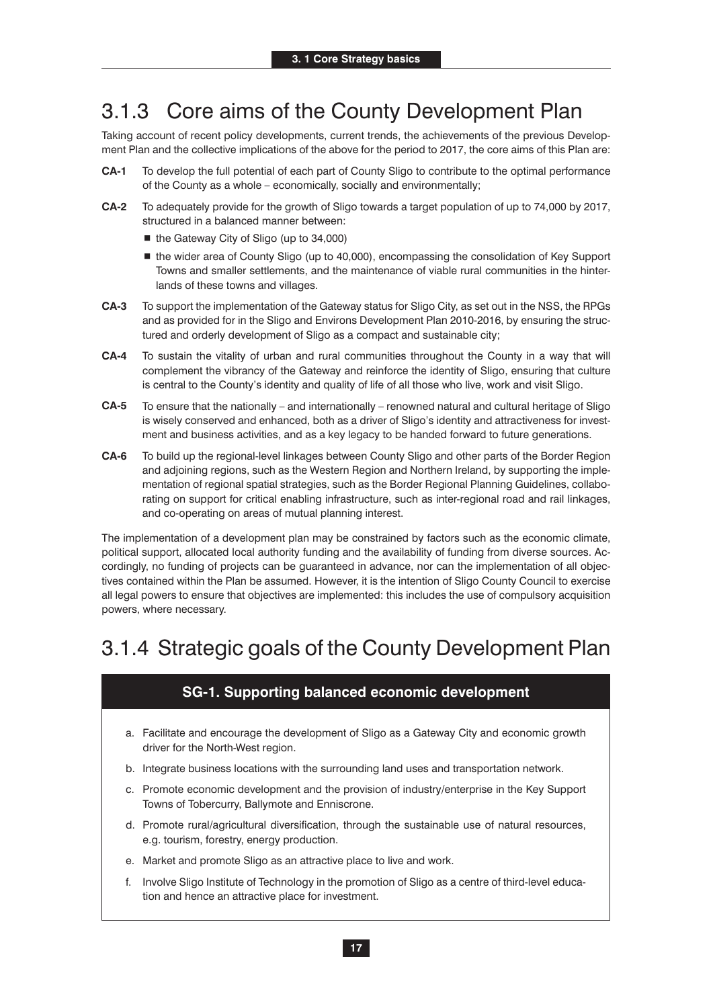### 3.1.3 Core aims of the County Development Plan

Taking account of recent policy developments, current trends, the achievements of the previous Development Plan and the collective implications of the above for the period to 2017, the core aims of this Plan are:

- **CA-1** To develop the full potential of each part of County Sligo to contribute to the optimal performance of the County as a whole – economically, socially and environmentally;
- **CA-2** To adequately provide for the growth of Sligo towards a target population of up to 74,000 by 2017, structured in a balanced manner between:
	- the Gateway City of Sligo (up to 34,000)
	- the wider area of County Sligo (up to 40,000), encompassing the consolidation of Key Support Towns and smaller settlements, and the maintenance of viable rural communities in the hinterlands of these towns and villages.
- **CA-3** To support the implementation of the Gateway status for Sligo City, as set out in the NSS, the RPGs and as provided for in the Sligo and Environs Development Plan 2010-2016, by ensuring the structured and orderly development of Sligo as a compact and sustainable city;
- **CA-4** To sustain the vitality of urban and rural communities throughout the County in a way that will complement the vibrancy of the Gateway and reinforce the identity of Sligo, ensuring that culture is central to the County's identity and quality of life of all those who live, work and visit Sligo.
- **CA-5** To ensure that the nationally and internationally renowned natural and cultural heritage of Sligo is wisely conserved and enhanced, both as a driver of Sligo's identity and attractiveness for investment and business activities, and as a key legacy to be handed forward to future generations.
- **CA-6** To build up the regional-level linkages between County Sligo and other parts of the Border Region and adjoining regions, such as the Western Region and Northern Ireland, by supporting the implementation of regional spatial strategies, such as the Border Regional Planning Guidelines, collaborating on support for critical enabling infrastructure, such as inter-regional road and rail linkages, and co-operating on areas of mutual planning interest.

The implementation of a development plan may be constrained by factors such as the economic climate, political support, allocated local authority funding and the availability of funding from diverse sources. Accordingly, no funding of projects can be guaranteed in advance, nor can the implementation of all objectives contained within the Plan be assumed. However, it is the intention of Sligo County Council to exercise all legal powers to ensure that objectives are implemented: this includes the use of compulsory acquisition powers, where necessary.

### 3.1.4 Strategic goals of the County Development Plan

### **SG-1. Supporting balanced economic development**

- a. Facilitate and encourage the development of Sligo as a Gateway City and economic growth driver for the North-West region.
- b. Integrate business locations with the surrounding land uses and transportation network.
- c. Promote economic development and the provision of industry/enterprise in the Key Support Towns of Tobercurry, Ballymote and Enniscrone.
- d. Promote rural/agricultural diversification, through the sustainable use of natural resources, e.g. tourism, forestry, energy production.
- e. Market and promote Sligo as an attractive place to live and work.
- f. Involve Sligo Institute of Technology in the promotion of Sligo as a centre of third-level education and hence an attractive place for investment.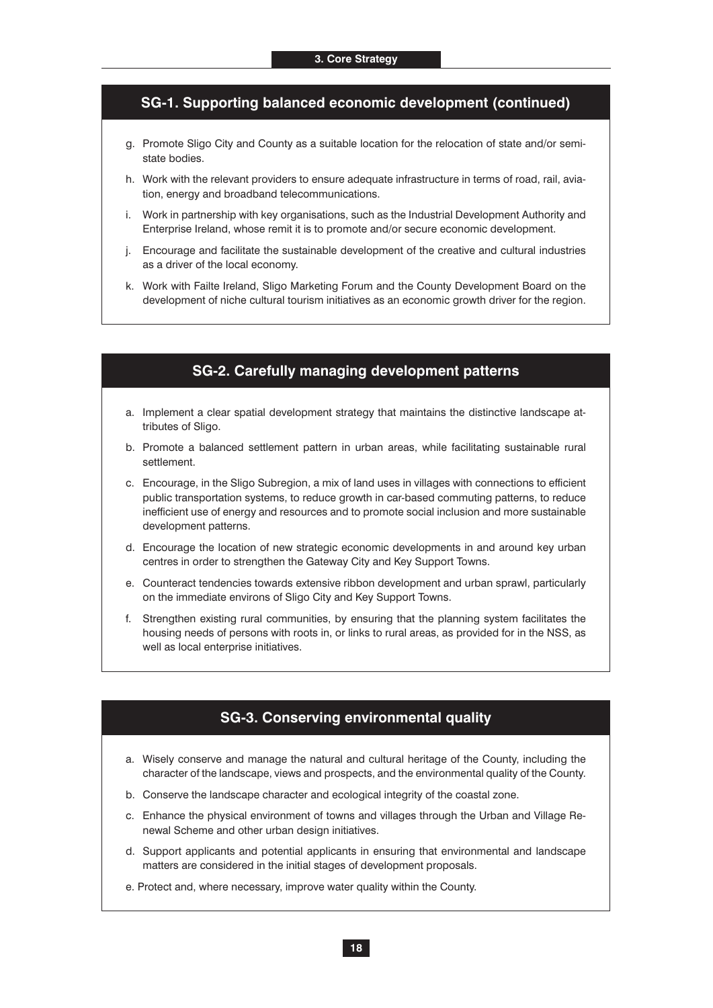#### **SG-1. Supporting balanced economic development (continued)**

- g. Promote Sligo City and County as a suitable location for the relocation of state and/or semistate bodies.
- h. Work with the relevant providers to ensure adequate infrastructure in terms of road, rail, aviation, energy and broadband telecommunications.
- i. Work in partnership with key organisations, such as the Industrial Development Authority and Enterprise Ireland, whose remit it is to promote and/or secure economic development.
- j. Encourage and facilitate the sustainable development of the creative and cultural industries as a driver of the local economy.
- k. Work with Failte Ireland, Sligo Marketing Forum and the County Development Board on the development of niche cultural tourism initiatives as an economic growth driver for the region.

#### **SG-2. Carefully managing development patterns**

- a. Implement a clear spatial development strategy that maintains the distinctive landscape attributes of Sligo.
- b. Promote a balanced settlement pattern in urban areas, while facilitating sustainable rural settlement.
- c. Encourage, in the Sligo Subregion, a mix of land uses in villages with connections to efficient public transportation systems, to reduce growth in car-based commuting patterns, to reduce inefficient use of energy and resources and to promote social inclusion and more sustainable development patterns.
- d. Encourage the location of new strategic economic developments in and around key urban centres in order to strengthen the Gateway City and Key Support Towns.
- e. Counteract tendencies towards extensive ribbon development and urban sprawl, particularly on the immediate environs of Sligo City and Key Support Towns.
- f. Strengthen existing rural communities, by ensuring that the planning system facilitates the housing needs of persons with roots in, or links to rural areas, as provided for in the NSS, as well as local enterprise initiatives.

### **SG-3. Conserving environmental quality**

- a. Wisely conserve and manage the natural and cultural heritage of the County, including the character of the landscape, views and prospects, and the environmental quality of the County.
- b. Conserve the landscape character and ecological integrity of the coastal zone.
- c. Enhance the physical environment of towns and villages through the Urban and Village Renewal Scheme and other urban design initiatives.
- d. Support applicants and potential applicants in ensuring that environmental and landscape matters are considered in the initial stages of development proposals.
- e. Protect and, where necessary, improve water quality within the County.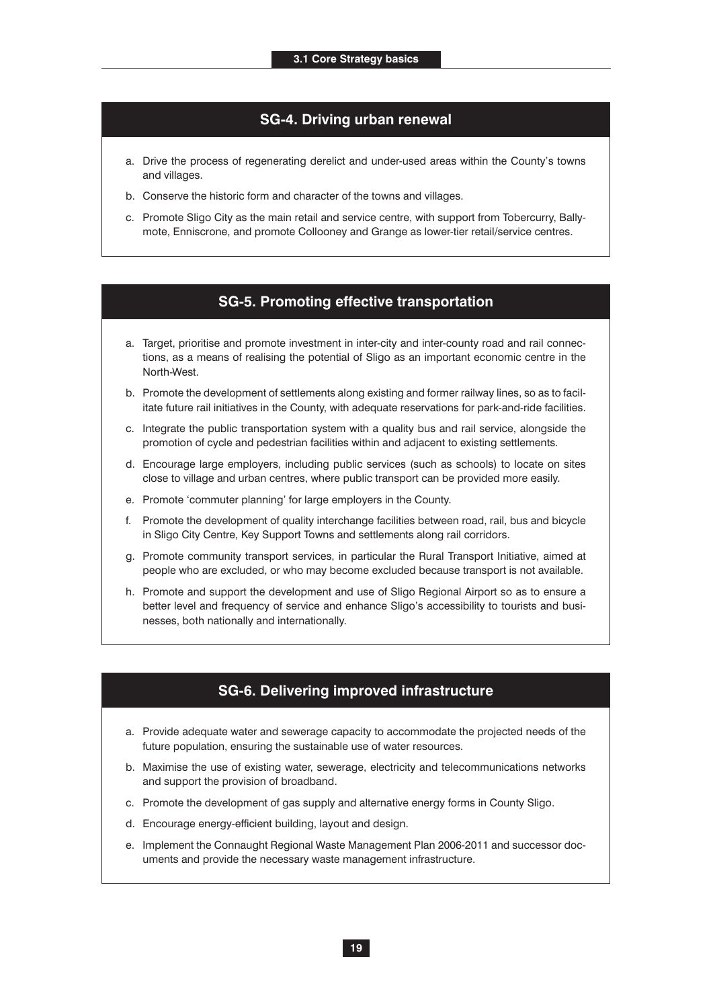#### **SG-4. Driving urban renewal**

- a. Drive the process of regenerating derelict and under-used areas within the County's towns and villages.
- b. Conserve the historic form and character of the towns and villages.
- c. Promote Sligo City as the main retail and service centre, with support from Tobercurry, Ballymote, Enniscrone, and promote Collooney and Grange as lower-tier retail/service centres.

#### **SG-5. Promoting effective transportation**

- a. Target, prioritise and promote investment in inter-city and inter-county road and rail connections, as a means of realising the potential of Sligo as an important economic centre in the North-West.
- b. Promote the development of settlements along existing and former railway lines, so as to facilitate future rail initiatives in the County, with adequate reservations for park-and-ride facilities.
- c. Integrate the public transportation system with a quality bus and rail service, alongside the promotion of cycle and pedestrian facilities within and adjacent to existing settlements.
- d. Encourage large employers, including public services (such as schools) to locate on sites close to village and urban centres, where public transport can be provided more easily.
- e. Promote 'commuter planning' for large employers in the County.
- f. Promote the development of quality interchange facilities between road, rail, bus and bicycle in Sligo City Centre, Key Support Towns and settlements along rail corridors.
- g. Promote community transport services, in particular the Rural Transport Initiative, aimed at people who are excluded, or who may become excluded because transport is not available.
- h. Promote and support the development and use of Sligo Regional Airport so as to ensure a better level and frequency of service and enhance Sligo's accessibility to tourists and businesses, both nationally and internationally.

#### **SG-6. Delivering improved infrastructure**

- a. Provide adequate water and sewerage capacity to accommodate the projected needs of the future population, ensuring the sustainable use of water resources.
- b. Maximise the use of existing water, sewerage, electricity and telecommunications networks and support the provision of broadband.
- c. Promote the development of gas supply and alternative energy forms in County Sligo.
- d. Encourage energy-efficient building, layout and design.
- e. Implement the Connaught Regional Waste Management Plan 2006-2011 and successor documents and provide the necessary waste management infrastructure.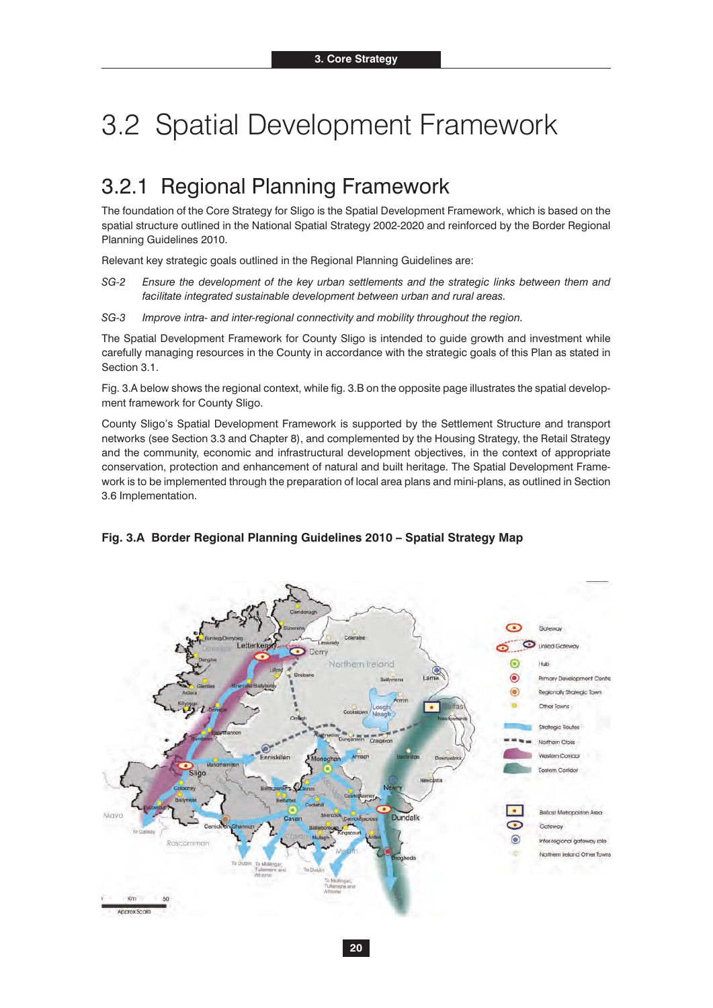# 3.2 Spatial Development Framework

### 3.2.1 Regional Planning Framework

The foundation of the Core Strategy for Sligo is the Spatial Development Framework, which is based on the spatial structure outlined in the National Spatial Strategy 2002-2020 and reinforced by the Border Regional Planning Guidelines 2010.

Relevant key strategic goals outlined in the Regional Planning Guidelines are:

*SG-2 Ensure the development of the key urban settlements and the strategic links between them and facilitate integrated sustainable development between urban and rural areas.*

*SG-3 Improve intra- and inter-regional connectivity and mobility throughout the region.*

The Spatial Development Framework for County Sligo is intended to guide growth and investment while carefully managing resources in the County in accordance with the strategic goals of this Plan as stated in Section 3.1.

Fig. 3.A below shows the regional context, while fig. 3.B on the opposite page illustrates the spatial development framework for County Sligo.

County Sligo's Spatial Development Framework is supported by the Settlement Structure and transport networks (see Section 3.3 and Chapter 8), and complemented by the Housing Strategy, the Retail Strategy and the community, economic and infrastructural development objectives, in the context of appropriate conservation, protection and enhancement of natural and built heritage. The Spatial Development Framework is to be implemented through the preparation of local area plans and mini-plans, as outlined in Section 3.6 Implementation.



#### **Fig. 3.A Border Regional Planning Guidelines 2010 – Spatial Strategy Map**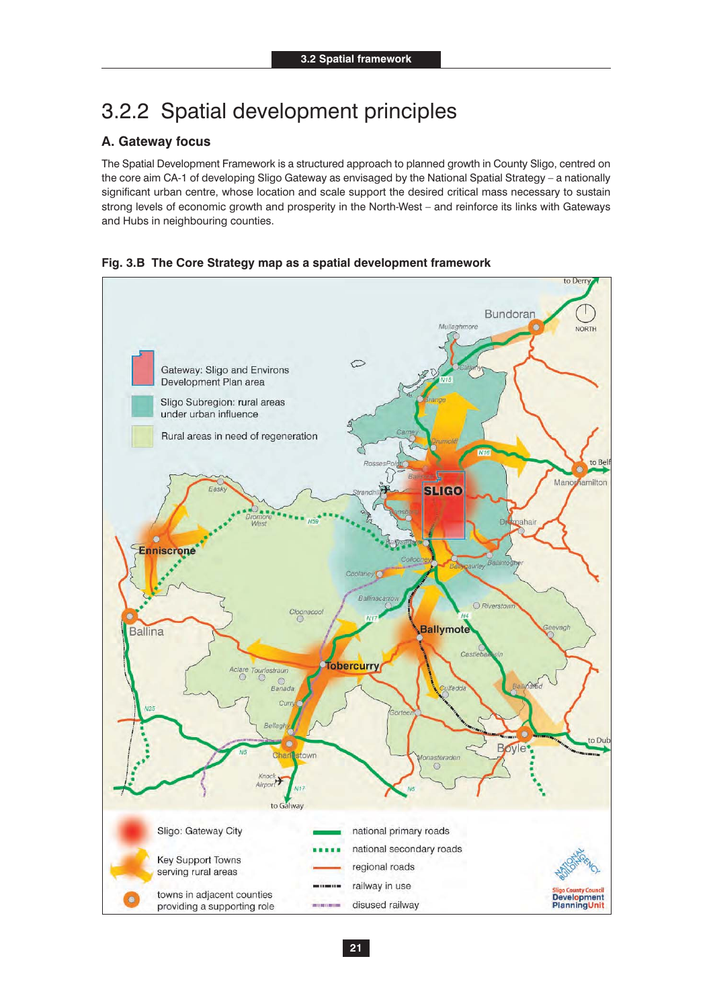### 3.2.2 Spatial development principles

#### **A. Gateway focus**

The Spatial Development Framework is a structured approach to planned growth in County Sligo, centred on the core aim CA-1 of developing Sligo Gateway as envisaged by the National Spatial Strategy – a nationally significant urban centre, whose location and scale support the desired critical mass necessary to sustain strong levels of economic growth and prosperity in the North-West – and reinforce its links with Gateways and Hubs in neighbouring counties.



#### **Fig. 3.B The Core Strategy map as a spatial development framework**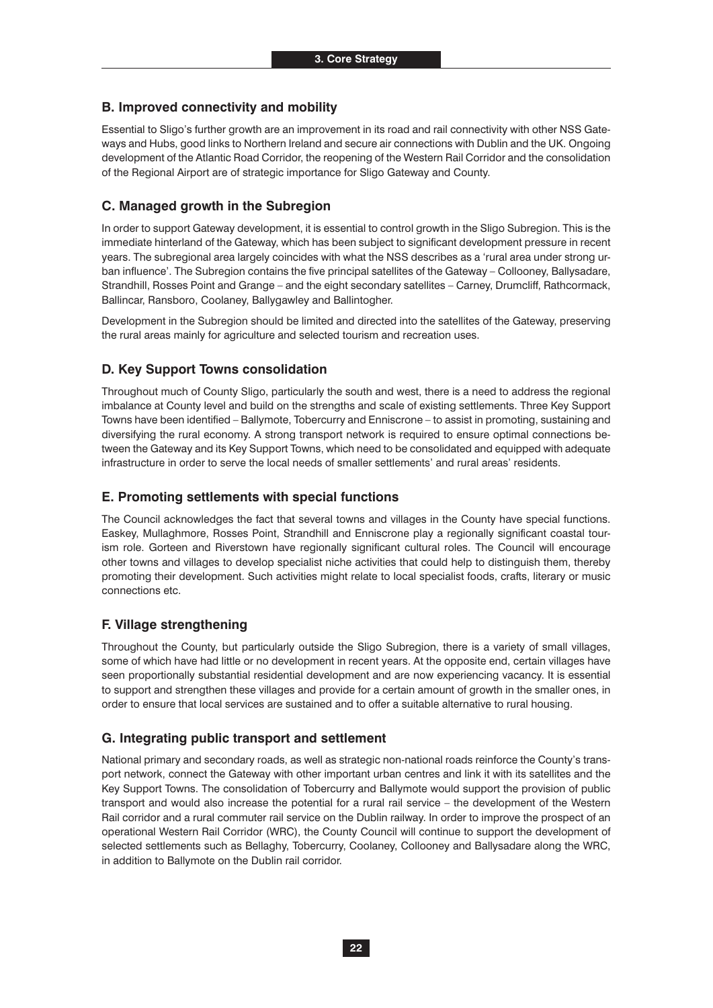#### **B. Improved connectivity and mobility**

Essential to Sligo's further growth are an improvement in its road and rail connectivity with other NSS Gateways and Hubs, good links to Northern Ireland and secure air connections with Dublin and the UK. Ongoing development of the Atlantic Road Corridor, the reopening of the Western Rail Corridor and the consolidation of the Regional Airport are of strategic importance for Sligo Gateway and County.

#### **C. Managed growth in the Subregion**

In order to support Gateway development, it is essential to control growth in the Sligo Subregion. This is the immediate hinterland of the Gateway, which has been subject to significant development pressure in recent years. The subregional area largely coincides with what the NSS describes as a 'rural area under strong urban influence'. The Subregion contains the five principal satellites of the Gateway – Collooney, Ballysadare, Strandhill, Rosses Point and Grange – and the eight secondary satellites – Carney, Drumcliff, Rathcormack, Ballincar, Ransboro, Coolaney, Ballygawley and Ballintogher.

Development in the Subregion should be limited and directed into the satellites of the Gateway, preserving the rural areas mainly for agriculture and selected tourism and recreation uses.

#### **D. Key Support Towns consolidation**

Throughout much of County Sligo, particularly the south and west, there is a need to address the regional imbalance at County level and build on the strengths and scale of existing settlements. Three Key Support Towns have been identified – Ballymote, Tobercurry and Enniscrone – to assist in promoting, sustaining and diversifying the rural economy. A strong transport network is required to ensure optimal connections between the Gateway and its Key Support Towns, which need to be consolidated and equipped with adequate infrastructure in order to serve the local needs of smaller settlements' and rural areas' residents.

#### **E. Promoting settlements with special functions**

The Council acknowledges the fact that several towns and villages in the County have special functions. Easkey, Mullaghmore, Rosses Point, Strandhill and Enniscrone play a regionally significant coastal tourism role. Gorteen and Riverstown have regionally significant cultural roles. The Council will encourage other towns and villages to develop specialist niche activities that could help to distinguish them, thereby promoting their development. Such activities might relate to local specialist foods, crafts, literary or music connections etc.

#### **F. Village strengthening**

Throughout the County, but particularly outside the Sligo Subregion, there is a variety of small villages, some of which have had little or no development in recent years. At the opposite end, certain villages have seen proportionally substantial residential development and are now experiencing vacancy. It is essential to support and strengthen these villages and provide for a certain amount of growth in the smaller ones, in order to ensure that local services are sustained and to offer a suitable alternative to rural housing.

#### **G. Integrating public transport and settlement**

National primary and secondary roads, as well as strategic non-national roads reinforce the County's transport network, connect the Gateway with other important urban centres and link it with its satellites and the Key Support Towns. The consolidation of Tobercurry and Ballymote would support the provision of public transport and would also increase the potential for a rural rail service – the development of the Western Rail corridor and a rural commuter rail service on the Dublin railway. In order to improve the prospect of an operational Western Rail Corridor (WRC), the County Council will continue to support the development of selected settlements such as Bellaghy, Tobercurry, Coolaney, Collooney and Ballysadare along the WRC, in addition to Ballymote on the Dublin rail corridor.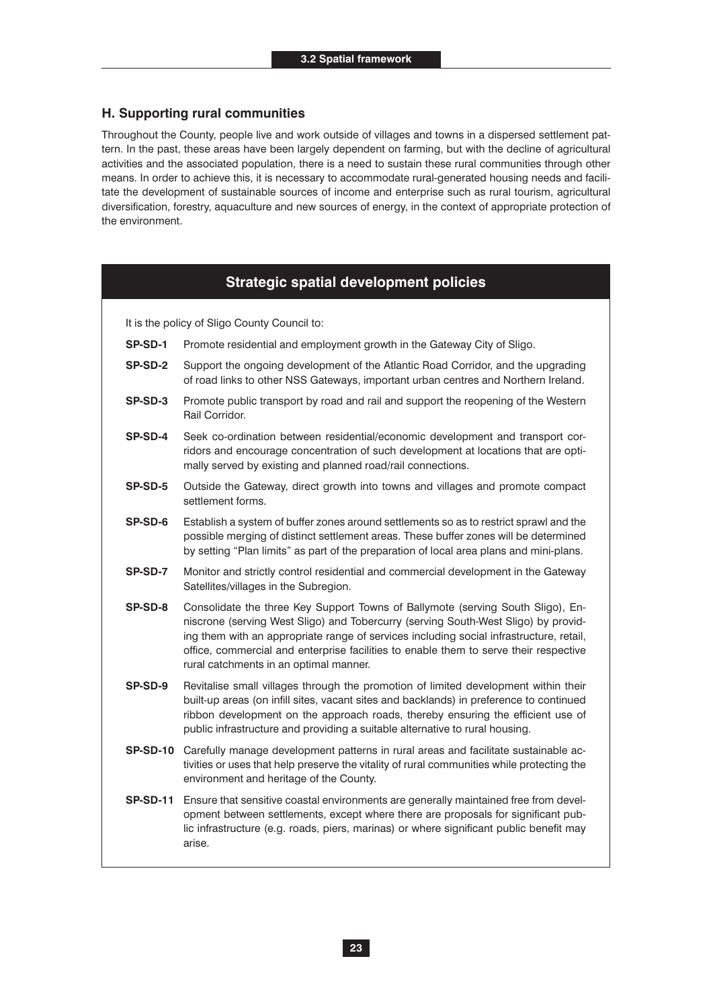#### **H. Supporting rural communities**

Throughout the County, people live and work outside of villages and towns in a dispersed settlement pattern. In the past, these areas have been largely dependent on farming, but with the decline of agricultural activities and the associated population, there is a need to sustain these rural communities through other means. In order to achieve this, it is necessary to accommodate rural-generated housing needs and facilitate the development of sustainable sources of income and enterprise such as rural tourism, agricultural diversification, forestry, aquaculture and new sources of energy, in the context of appropriate protection of the environment.

### **Strategic spatial development policies**

It is the policy of Sligo County Council to:

- **SP-SD-1** Promote residential and employment growth in the Gateway City of Sligo.
- **SP-SD-2** Support the ongoing development of the Atlantic Road Corridor, and the upgrading of road links to other NSS Gateways, important urban centres and Northern Ireland.
- **SP-SD-3** Promote public transport by road and rail and support the reopening of the Western Rail Corridor.
- **SP-SD-4** Seek co-ordination between residential/economic development and transport corridors and encourage concentration of such development at locations that are optimally served by existing and planned road/rail connections.
- **SP-SD-5** Outside the Gateway, direct growth into towns and villages and promote compact settlement forms.
- **SP-SD-6** Establish a system of buffer zones around settlements so as to restrict sprawl and the possible merging of distinct settlement areas. These buffer zones will be determined by setting "Plan limits" as part of the preparation of local area plans and mini-plans.
- **SP-SD-7** Monitor and strictly control residential and commercial development in the Gateway Satellites/villages in the Subregion.
- **SP-SD-8** Consolidate the three Key Support Towns of Ballymote (serving South Sligo), Enniscrone (serving West Sligo) and Tobercurry (serving South-West Sligo) by providing them with an appropriate range of services including social infrastructure, retail, office, commercial and enterprise facilities to enable them to serve their respective rural catchments in an optimal manner.
- **SP-SD-9** Revitalise small villages through the promotion of limited development within their built-up areas (on infill sites, vacant sites and backlands) in preference to continued ribbon development on the approach roads, thereby ensuring the efficient use of public infrastructure and providing a suitable alternative to rural housing.
- **SP-SD-10** Carefully manage development patterns in rural areas and facilitate sustainable activities or uses that help preserve the vitality of rural communities while protecting the environment and heritage of the County.
- **SP-SD-11** Ensure that sensitive coastal environments are generally maintained free from development between settlements, except where there are proposals for significant public infrastructure (e.g. roads, piers, marinas) or where significant public benefit may arise.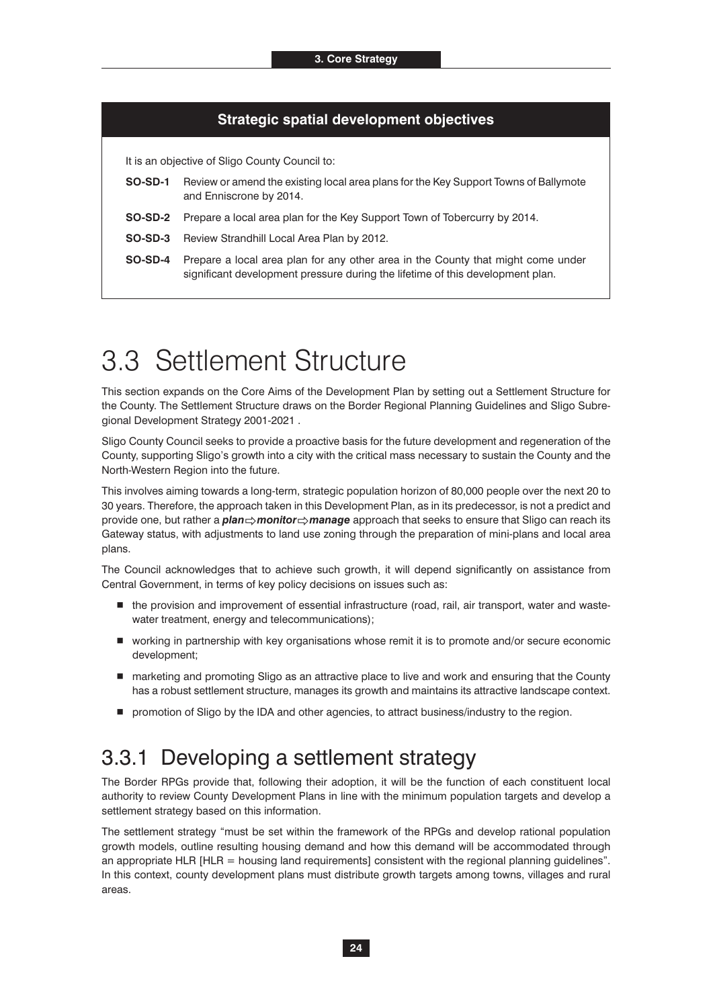#### **Strategic spatial development objectives**

It is an objective of Sligo County Council to:

- **SO-SD-1** Review or amend the existing local area plans for the Key Support Towns of Ballymote and Enniscrone by 2014.
- **SO-SD-2** Prepare a local area plan for the Key Support Town of Tobercurry by 2014.
- **SO-SD-3** Review Strandhill Local Area Plan by 2012.
- **SO-SD-4** Prepare a local area plan for any other area in the County that might come under significant development pressure during the lifetime of this development plan.

## 3.3 Settlement Structure

This section expands on the Core Aims of the Development Plan by setting out a Settlement Structure for the County. The Settlement Structure draws on the Border Regional Planning Guidelines and Sligo Subregional Development Strategy 2001-2021 .

Sligo County Council seeks to provide a proactive basis for the future development and regeneration of the County, supporting Sligo's growth into a city with the critical mass necessary to sustain the County and the North-Western Region into the future.

This involves aiming towards a long-term, strategic population horizon of 80,000 people over the next 20 to 30 years. Therefore, the approach taken in this Development Plan, as in its predecessor, is not a predict and provide one, but rather a *plan* $\Rightarrow$ *monitor* $\Rightarrow$ *manage* approach that seeks to ensure that Sligo can reach its<br>Cataway status, with adjustments to land use zoning through the preparation of mini plans and local area Gateway status, with adjustments to land use zoning through the preparation of mini-plans and local area plans.

The Council acknowledges that to achieve such growth, it will depend significantly on assistance from Central Government, in terms of key policy decisions on issues such as:

- $\blacksquare$  the provision and improvement of essential infrastructure (road, rail, air transport, water and wastewater treatment, energy and telecommunications);
- working in partnership with key organisations whose remit it is to promote and/or secure economic development;
- marketing and promoting Sligo as an attractive place to live and work and ensuring that the County has a robust settlement structure, manages its growth and maintains its attractive landscape context.
- **P** promotion of Sligo by the IDA and other agencies, to attract business/industry to the region.

### 3.3.1 Developing a settlement strategy

The Border RPGs provide that, following their adoption, it will be the function of each constituent local authority to review County Development Plans in line with the minimum population targets and develop a settlement strategy based on this information.

The settlement strategy "must be set within the framework of the RPGs and develop rational population growth models, outline resulting housing demand and how this demand will be accommodated through an appropriate HLR [HLR = housing land requirements] consistent with the regional planning guidelines". In this context, county development plans must distribute growth targets among towns, villages and rural areas.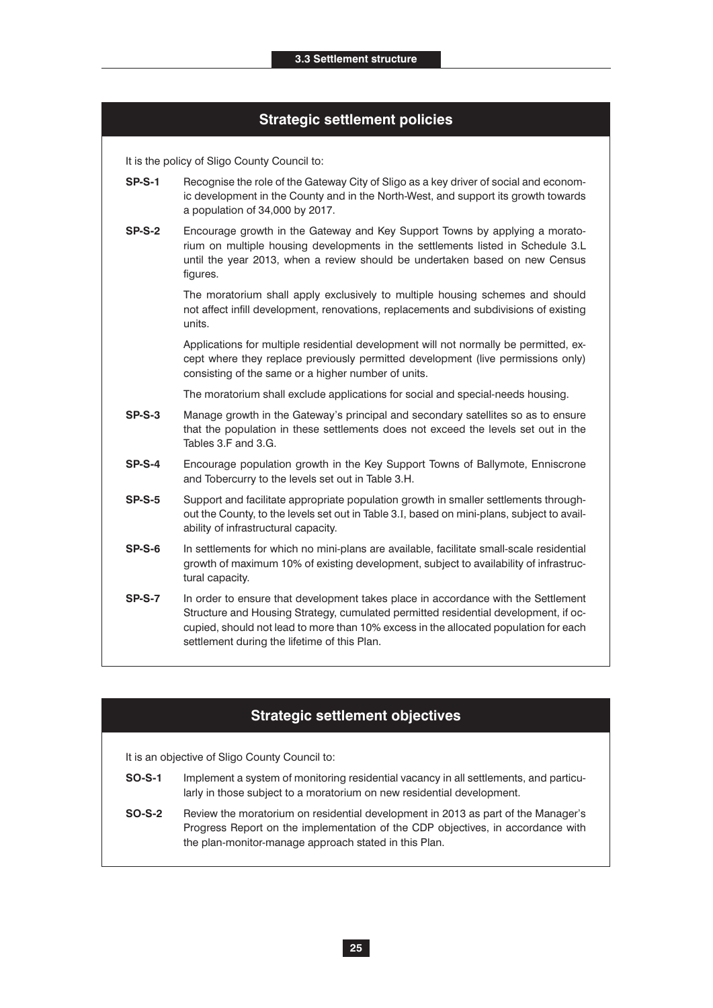### **Strategic settlement policies**

It is the policy of Sligo County Council to:

- **SP-S-1** Recognise the role of the Gateway City of Sligo as a key driver of social and economic development in the County and in the North-West, and support its growth towards a population of 34,000 by 2017.
- **SP-S-2** Encourage growth in the Gateway and Key Support Towns by applying a moratorium on multiple housing developments in the settlements listed in Schedule 3.L until the year 2013, when a review should be undertaken based on new Census figures.

The moratorium shall apply exclusively to multiple housing schemes and should not affect infill development, renovations, replacements and subdivisions of existing units.

Applications for multiple residential development will not normally be permitted, except where they replace previously permitted development (live permissions only) consisting of the same or a higher number of units.

The moratorium shall exclude applications for social and special-needs housing.

- **SP-S-3** Manage growth in the Gateway's principal and secondary satellites so as to ensure that the population in these settlements does not exceed the levels set out in the Tables 3.F and 3.G.
- **SP-S-4** Encourage population growth in the Key Support Towns of Ballymote, Enniscrone and Tobercurry to the levels set out in Table 3.H.
- **SP-S-5** Support and facilitate appropriate population growth in smaller settlements throughout the County, to the levels set out in Table 3.I, based on mini-plans, subject to availability of infrastructural capacity.
- **SP-S-6** In settlements for which no mini-plans are available, facilitate small-scale residential growth of maximum 10% of existing development, subject to availability of infrastructural capacity.
- **SP-S-7** In order to ensure that development takes place in accordance with the Settlement Structure and Housing Strategy, cumulated permitted residential development, if occupied, should not lead to more than 10% excess in the allocated population for each settlement during the lifetime of this Plan.

### **Strategic settlement objectives**

It is an objective of Sligo County Council to:

- **SO-S-1** Implement a system of monitoring residential vacancy in all settlements, and particularly in those subject to a moratorium on new residential development.
- **SO-S-2** Review the moratorium on residential development in 2013 as part of the Manager's Progress Report on the implementation of the CDP objectives, in accordance with the plan-monitor-manage approach stated in this Plan.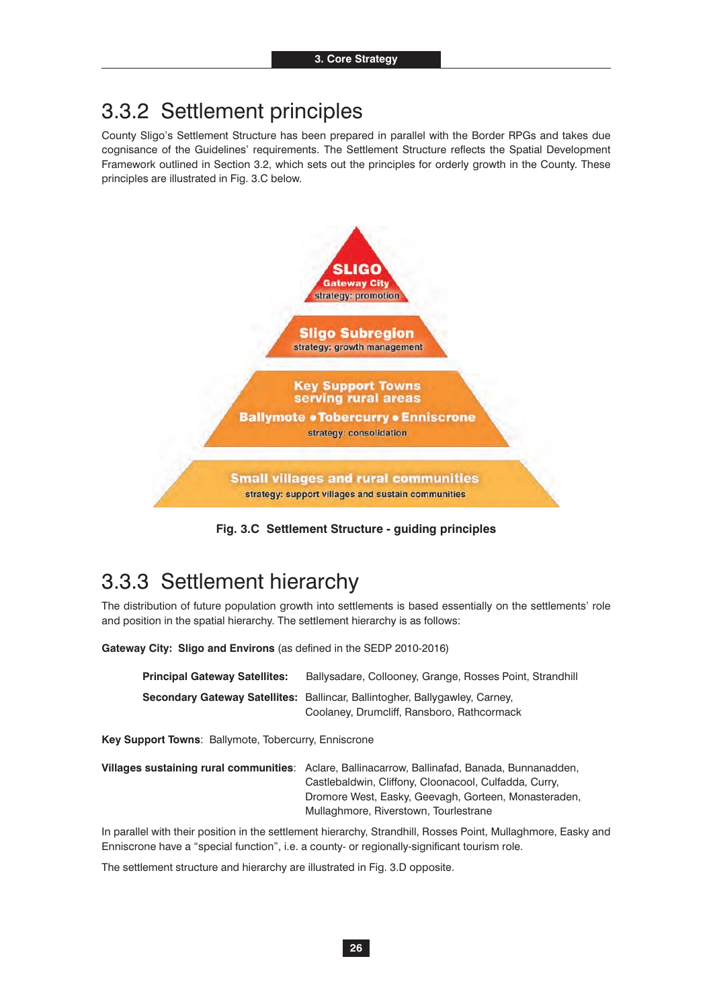### 3.3.2 Settlement principles

County Sligo's Settlement Structure has been prepared in parallel with the Border RPGs and takes due cognisance of the Guidelines' requirements. The Settlement Structure reflects the Spatial Development Framework outlined in Section 3.2, which sets out the principles for orderly growth in the County. These principles are illustrated in Fig. 3.C below.



**Fig. 3.C Settlement Structure - guiding principles**

### 3.3.3 Settlement hierarchy

The distribution of future population growth into settlements is based essentially on the settlements' role and position in the spatial hierarchy. The settlement hierarchy is as follows:

**Gateway City: Sligo and Environs** (as defined in the SEDP 2010-2016)

| <b>Principal Gateway Satellites:</b> | Ballysadare, Collooney, Grange, Rosses Point, Strandhill                    |
|--------------------------------------|-----------------------------------------------------------------------------|
|                                      | Secondary Gateway Satellites: Ballincar, Ballintogher, Ballygawley, Carney, |
|                                      | Coolaney, Drumcliff, Ransboro, Rathcormack                                  |

**Key Support Towns**: Ballymote, Tobercurry, Enniscrone

**Villages sustaining rural communities**: Aclare, Ballinacarrow, Ballinafad, Banada, Bunnanadden, Castlebaldwin, Cliffony, Cloonacool, Culfadda, Curry, Dromore West, Easky, Geevagh, Gorteen, Monasteraden, Mullaghmore, Riverstown, Tourlestrane

In parallel with their position in the settlement hierarchy, Strandhill, Rosses Point, Mullaghmore, Easky and Enniscrone have a "special function", i.e. a county- or regionally-significant tourism role.

The settlement structure and hierarchy are illustrated in Fig. 3.D opposite.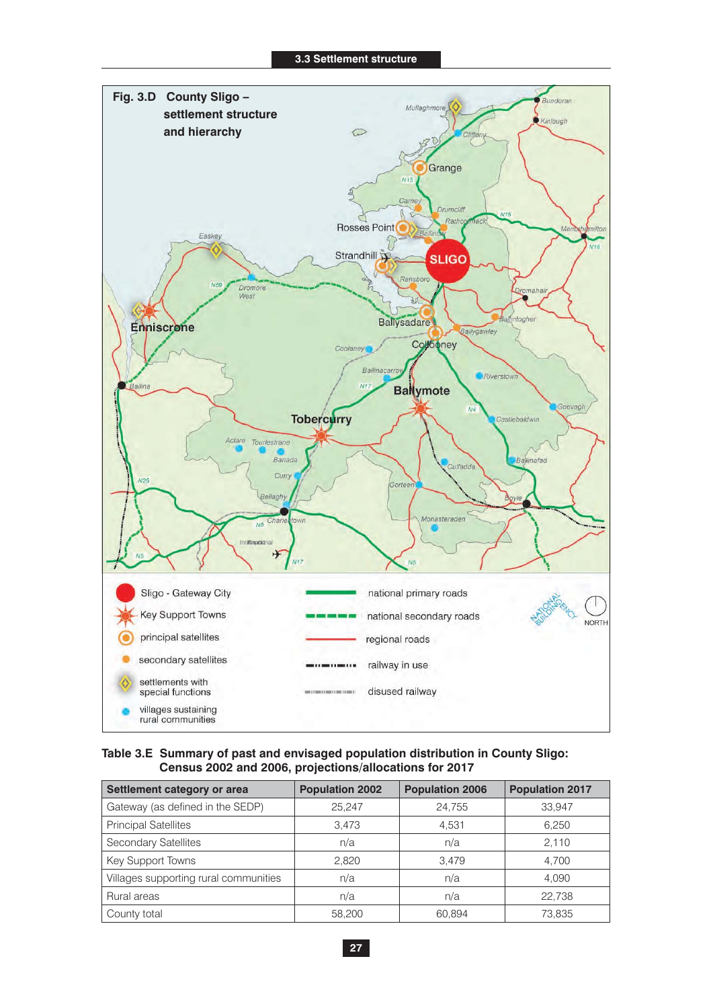

#### **Table 3.E Summary of past and envisaged population distribution in County Sligo: Census 2002 and 2006, projections/allocations for 2017**

| Settlement category or area           | <b>Population 2002</b> | <b>Population 2006</b> | <b>Population 2017</b> |
|---------------------------------------|------------------------|------------------------|------------------------|
| Gateway (as defined in the SEDP)      | 25.247                 | 24,755                 | 33,947                 |
| <b>Principal Satellites</b>           | 3.473                  | 4,531                  | 6,250                  |
| <b>Secondary Satellites</b>           | n/a                    | n/a                    | 2,110                  |
| Key Support Towns                     | 2.820                  | 3.479                  | 4.700                  |
| Villages supporting rural communities | n/a                    | n/a                    | 4,090                  |
| Rural areas                           | n/a                    | n/a                    | 22.738                 |
| County total                          | 58,200                 | 60.894                 | 73,835                 |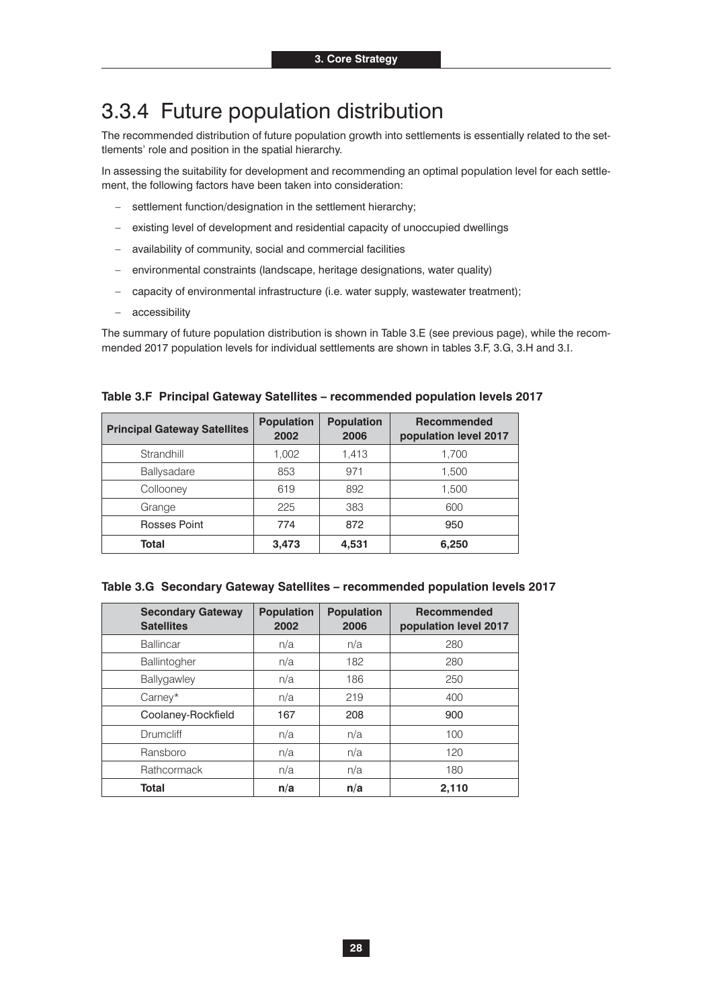### 3.3.4 Future population distribution

The recommended distribution of future population growth into settlements is essentially related to the settlements' role and position in the spatial hierarchy.

In assessing the suitability for development and recommending an optimal population level for each settlement, the following factors have been taken into consideration:

- settlement function/designation in the settlement hierarchy;
- existing level of development and residential capacity of unoccupied dwellings
- availability of community, social and commercial facilities
- environmental constraints (landscape, heritage designations, water quality)
- capacity of environmental infrastructure (i.e. water supply, wastewater treatment);
- accessibility

The summary of future population distribution is shown in Table 3.E (see previous page), while the recommended 2017 population levels for individual settlements are shown in tables 3.F, 3.G, 3.H and 3.I.

| <b>Principal Gateway Satellites</b> | <b>Population</b><br>2002 | <b>Population</b><br>2006 | <b>Recommended</b><br>population level 2017 |
|-------------------------------------|---------------------------|---------------------------|---------------------------------------------|
| Strandhill                          | 1,002                     | 1,413                     | 1,700                                       |
| Ballysadare                         | 853                       | 971                       | 1,500                                       |
| Collooney                           | 619                       | 892                       | 1,500                                       |
| Grange                              | 225                       | 383                       | 600                                         |
| Rosses Point                        | 774                       | 872                       | 950                                         |
| Total                               | 3,473                     | 4,531                     | 6,250                                       |

|  |  | Table 3.F Principal Gateway Satellites – recommended population levels 2017 |  |  |
|--|--|-----------------------------------------------------------------------------|--|--|
|  |  |                                                                             |  |  |

| Table 3.G Secondary Gateway Satellites - recommended population levels 2017 |  |  |  |  |
|-----------------------------------------------------------------------------|--|--|--|--|
|-----------------------------------------------------------------------------|--|--|--|--|

| <b>Secondary Gateway</b><br><b>Satellites</b> | <b>Population</b><br>2002 | <b>Population</b><br>2006 | <b>Recommended</b><br>population level 2017 |
|-----------------------------------------------|---------------------------|---------------------------|---------------------------------------------|
| Ballincar                                     | n/a                       | n/a                       | 280                                         |
| Ballintogher                                  | n/a                       | 182                       | 280                                         |
| Ballygawley                                   | n/a                       | 186                       | 250                                         |
| Carney*                                       | n/a                       | 219                       | 400                                         |
| Coolaney-Rockfield                            | 167                       | 208                       | 900                                         |
| <b>Drumcliff</b>                              | n/a                       | n/a                       | 100                                         |
| Ransboro                                      | n/a                       | n/a                       | 120                                         |
| Rathcormack                                   | n/a                       | n/a                       | 180                                         |
| Total                                         | n/a                       | n/a                       | 2,110                                       |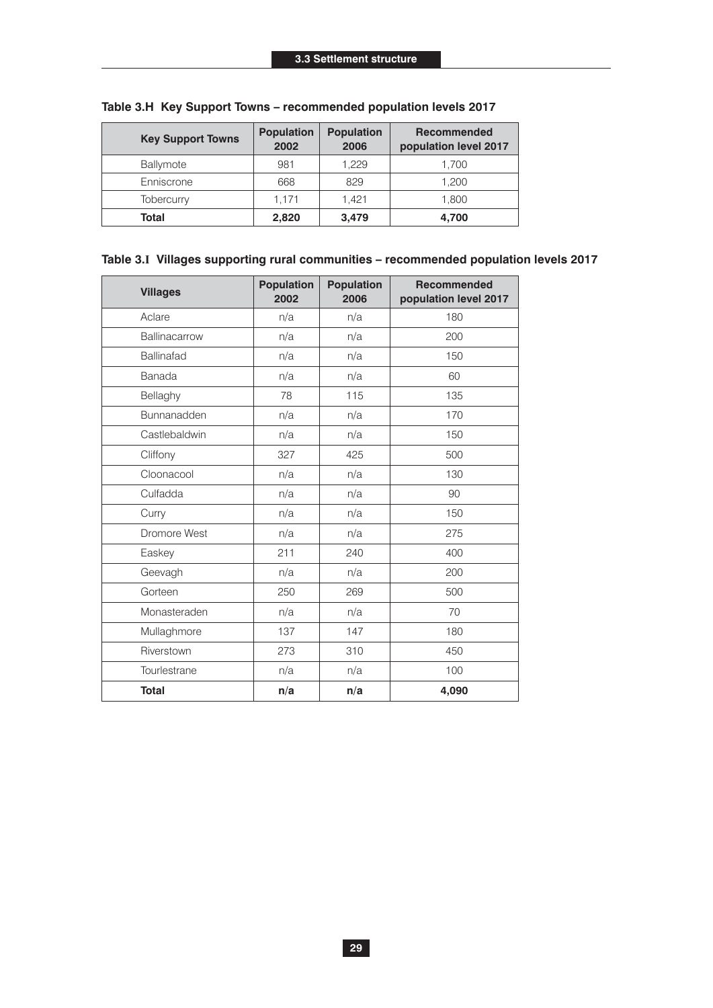| <b>Key Support Towns</b> | <b>Population</b><br>2002 | <b>Population</b><br>2006 | <b>Recommended</b><br>population level 2017 |
|--------------------------|---------------------------|---------------------------|---------------------------------------------|
| Ballymote                | 981                       | 1,229                     | 1,700                                       |
| Enniscrone               | 668                       | 829                       | 1,200                                       |
| Tobercurry               | 1.171                     | 1.421                     | 1,800                                       |
| Total                    | 2,820                     | 3.479                     | 4,700                                       |

### **Table 3.H Key Support Towns – recommended population levels 2017**

#### **Table 3.I Villages supporting rural communities – recommended population levels 2017**

| <b>Villages</b> | <b>Population</b><br>2002 | <b>Population</b><br>2006 | <b>Recommended</b><br>population level 2017 |
|-----------------|---------------------------|---------------------------|---------------------------------------------|
| Aclare          | n/a                       | n/a                       | 180                                         |
| Ballinacarrow   | n/a                       | n/a                       | 200                                         |
| Ballinafad      | n/a                       | n/a                       | 150                                         |
| Banada          | n/a                       | n/a                       | 60                                          |
| Bellaghy        | 78                        | 115                       | 135                                         |
| Bunnanadden     | n/a                       | n/a                       | 170                                         |
| Castlebaldwin   | n/a                       | n/a                       | 150                                         |
| Cliffony        | 327                       | 425                       | 500                                         |
| Cloonacool      | n/a                       | n/a                       | 130                                         |
| Culfadda        | n/a                       | n/a                       | 90                                          |
| Curry           | n/a                       | n/a                       | 150                                         |
| Dromore West    | n/a                       | n/a                       | 275                                         |
| Easkey          | 211                       | 240                       | 400                                         |
| Geevagh         | n/a                       | n/a                       | 200                                         |
| Gorteen         | 250                       | 269                       | 500                                         |
| Monasteraden    | n/a                       | n/a                       | 70                                          |
| Mullaghmore     | 137                       | 147                       | 180                                         |
| Riverstown      | 273                       | 310                       | 450                                         |
| Tourlestrane    | n/a                       | n/a                       | 100                                         |
| <b>Total</b>    | n/a                       | n/a                       | 4,090                                       |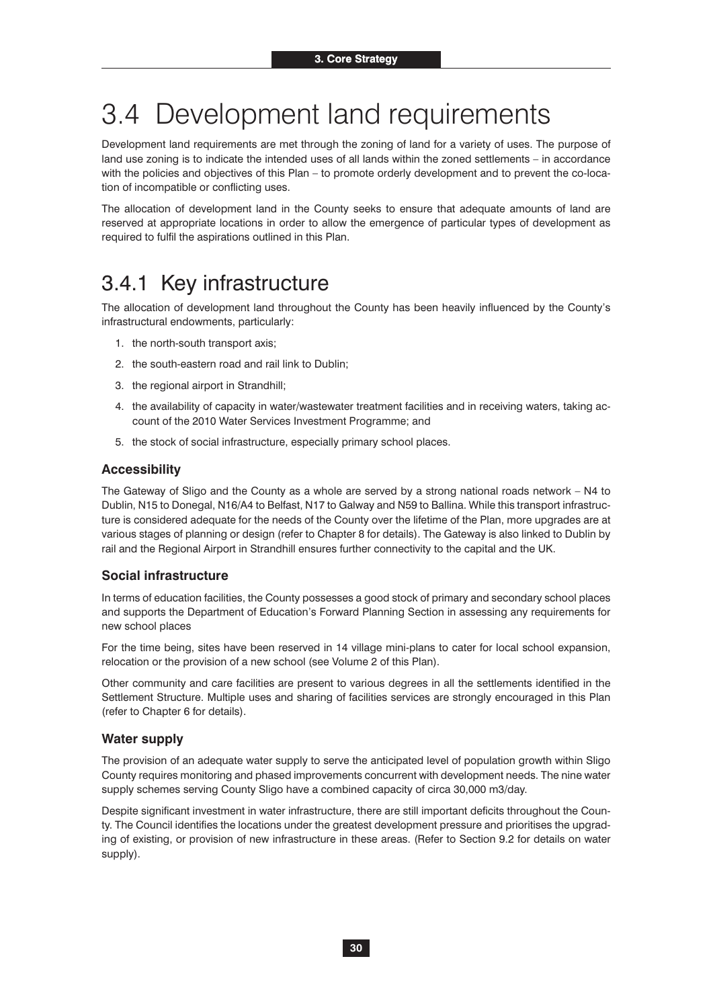# 3.4 Development land requirements

Development land requirements are met through the zoning of land for a variety of uses. The purpose of land use zoning is to indicate the intended uses of all lands within the zoned settlements – in accordance with the policies and objectives of this Plan – to promote orderly development and to prevent the co-location of incompatible or conflicting uses.

The allocation of development land in the County seeks to ensure that adequate amounts of land are reserved at appropriate locations in order to allow the emergence of particular types of development as required to fulfil the aspirations outlined in this Plan.

### 3.4.1 Key infrastructure

The allocation of development land throughout the County has been heavily influenced by the County's infrastructural endowments, particularly:

- 1. the north-south transport axis;
- 2. the south-eastern road and rail link to Dublin;
- 3. the regional airport in Strandhill;
- 4. the availability of capacity in water/wastewater treatment facilities and in receiving waters, taking account of the 2010 Water Services Investment Programme; and
- 5. the stock of social infrastructure, especially primary school places.

#### **Accessibility**

The Gateway of Sligo and the County as a whole are served by a strong national roads network – N4 to Dublin, N15 to Donegal, N16/A4 to Belfast, N17 to Galway and N59 to Ballina. While this transport infrastructure is considered adequate for the needs of the County over the lifetime of the Plan, more upgrades are at various stages of planning or design (refer to Chapter 8 for details). The Gateway is also linked to Dublin by rail and the Regional Airport in Strandhill ensures further connectivity to the capital and the UK.

#### **Social infrastructure**

In terms of education facilities, the County possesses a good stock of primary and secondary school places and supports the Department of Education's Forward Planning Section in assessing any requirements for new school places

For the time being, sites have been reserved in 14 village mini-plans to cater for local school expansion, relocation or the provision of a new school (see Volume 2 of this Plan).

Other community and care facilities are present to various degrees in all the settlements identified in the Settlement Structure. Multiple uses and sharing of facilities services are strongly encouraged in this Plan (refer to Chapter 6 for details).

#### **Water supply**

The provision of an adequate water supply to serve the anticipated level of population growth within Sligo County requires monitoring and phased improvements concurrent with development needs. The nine water supply schemes serving County Sligo have a combined capacity of circa 30,000 m3/day.

Despite significant investment in water infrastructure, there are still important deficits throughout the County. The Council identifies the locations under the greatest development pressure and prioritises the upgrading of existing, or provision of new infrastructure in these areas. (Refer to Section 9.2 for details on water supply).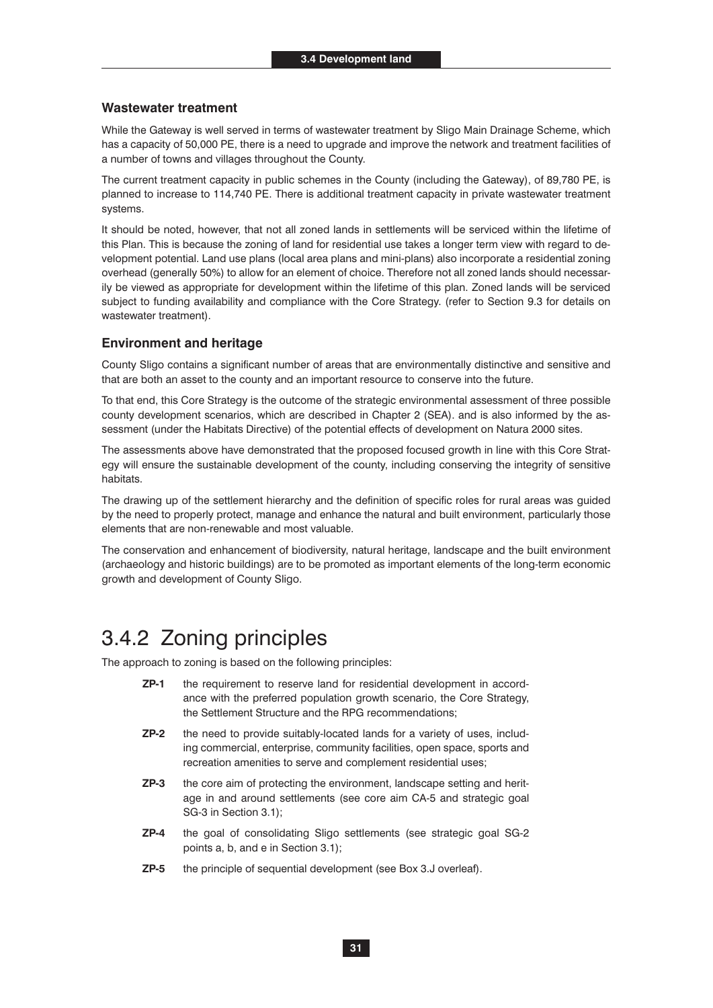#### **Wastewater treatment**

While the Gateway is well served in terms of wastewater treatment by Sligo Main Drainage Scheme, which has a capacity of 50,000 PE, there is a need to upgrade and improve the network and treatment facilities of a number of towns and villages throughout the County.

The current treatment capacity in public schemes in the County (including the Gateway), of 89,780 PE, is planned to increase to 114,740 PE. There is additional treatment capacity in private wastewater treatment systems.

It should be noted, however, that not all zoned lands in settlements will be serviced within the lifetime of this Plan. This is because the zoning of land for residential use takes a longer term view with regard to development potential. Land use plans (local area plans and mini-plans) also incorporate a residential zoning overhead (generally 50%) to allow for an element of choice. Therefore not all zoned lands should necessarily be viewed as appropriate for development within the lifetime of this plan. Zoned lands will be serviced subject to funding availability and compliance with the Core Strategy. (refer to Section 9.3 for details on wastewater treatment).

#### **Environment and heritage**

County Sligo contains a significant number of areas that are environmentally distinctive and sensitive and that are both an asset to the county and an important resource to conserve into the future.

To that end, this Core Strategy is the outcome of the strategic environmental assessment of three possible county development scenarios, which are described in Chapter 2 (SEA). and is also informed by the assessment (under the Habitats Directive) of the potential effects of development on Natura 2000 sites.

The assessments above have demonstrated that the proposed focused growth in line with this Core Strategy will ensure the sustainable development of the county, including conserving the integrity of sensitive habitats.

The drawing up of the settlement hierarchy and the definition of specific roles for rural areas was guided by the need to properly protect, manage and enhance the natural and built environment, particularly those elements that are non-renewable and most valuable.

The conservation and enhancement of biodiversity, natural heritage, landscape and the built environment (archaeology and historic buildings) are to be promoted as important elements of the long-term economic growth and development of County Sligo.

### 3.4.2 Zoning principles

The approach to zoning is based on the following principles:

- **ZP-1** the requirement to reserve land for residential development in accordance with the preferred population growth scenario, the Core Strategy, the Settlement Structure and the RPG recommendations;
- **ZP-2** the need to provide suitably-located lands for a variety of uses, including commercial, enterprise, community facilities, open space, sports and recreation amenities to serve and complement residential uses;
- **ZP-3** the core aim of protecting the environment, landscape setting and heritage in and around settlements (see core aim CA-5 and strategic goal SG-3 in Section 3.1);
- **ZP-4** the goal of consolidating Sligo settlements (see strategic goal SG-2 points a, b, and e in Section 3.1);
- **ZP-5** the principle of sequential development (see Box 3.J overleaf).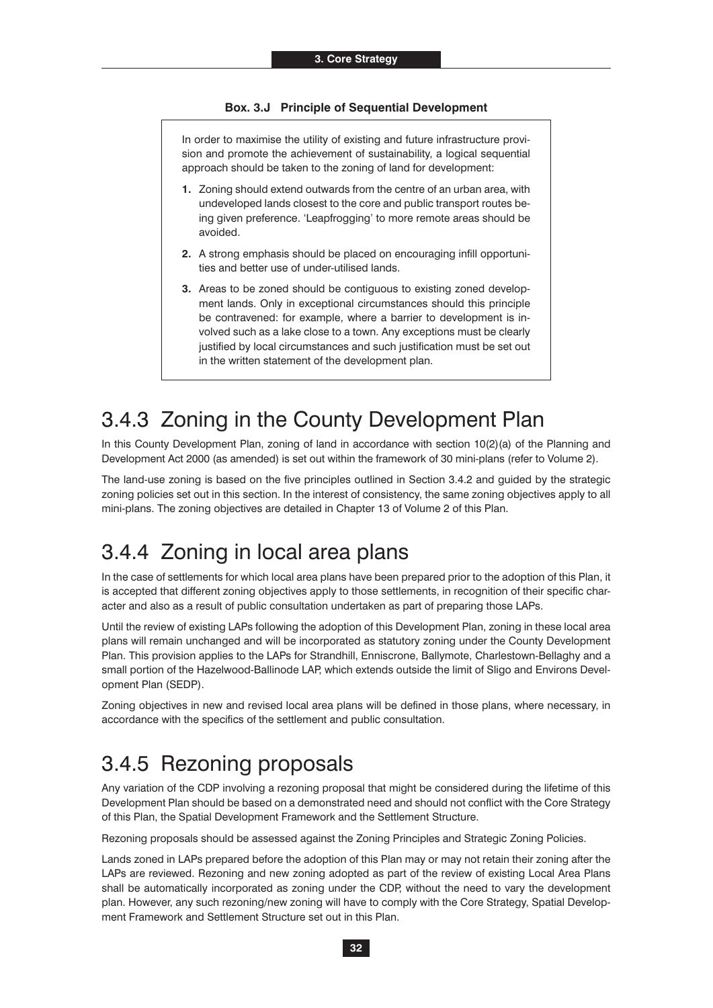#### **Box. 3.J Principle of Sequential Development**

In order to maximise the utility of existing and future infrastructure provision and promote the achievement of sustainability, a logical sequential approach should be taken to the zoning of land for development:

- **1.** Zoning should extend outwards from the centre of an urban area, with undeveloped lands closest to the core and public transport routes being given preference. 'Leapfrogging' to more remote areas should be avoided.
- **2.** A strong emphasis should be placed on encouraging infill opportunities and better use of under-utilised lands.
- **3.** Areas to be zoned should be contiguous to existing zoned development lands. Only in exceptional circumstances should this principle be contravened: for example, where a barrier to development is involved such as a lake close to a town. Any exceptions must be clearly justified by local circumstances and such justification must be set out in the written statement of the development plan.

### 3.4.3 Zoning in the County Development Plan

In this County Development Plan, zoning of land in accordance with section 10(2)(a) of the Planning and Development Act 2000 (as amended) is set out within the framework of 30 mini-plans (refer to Volume 2).

The land-use zoning is based on the five principles outlined in Section 3.4.2 and guided by the strategic zoning policies set out in this section. In the interest of consistency, the same zoning objectives apply to all mini-plans. The zoning objectives are detailed in Chapter 13 of Volume 2 of this Plan.

### 3.4.4 Zoning in local area plans

In the case of settlements for which local area plans have been prepared prior to the adoption of this Plan, it is accepted that different zoning objectives apply to those settlements, in recognition of their specific character and also as a result of public consultation undertaken as part of preparing those LAPs.

Until the review of existing LAPs following the adoption of this Development Plan, zoning in these local area plans will remain unchanged and will be incorporated as statutory zoning under the County Development Plan. This provision applies to the LAPs for Strandhill, Enniscrone, Ballymote, Charlestown-Bellaghy and a small portion of the Hazelwood-Ballinode LAP, which extends outside the limit of Sligo and Environs Development Plan (SEDP).

Zoning objectives in new and revised local area plans will be defined in those plans, where necessary, in accordance with the specifics of the settlement and public consultation.

### 3.4.5 Rezoning proposals

Any variation of the CDP involving a rezoning proposal that might be considered during the lifetime of this Development Plan should be based on a demonstrated need and should not conflict with the Core Strategy of this Plan, the Spatial Development Framework and the Settlement Structure.

Rezoning proposals should be assessed against the Zoning Principles and Strategic Zoning Policies.

Lands zoned in LAPs prepared before the adoption of this Plan may or may not retain their zoning after the LAPs are reviewed. Rezoning and new zoning adopted as part of the review of existing Local Area Plans shall be automatically incorporated as zoning under the CDP, without the need to vary the development plan. However, any such rezoning/new zoning will have to comply with the Core Strategy, Spatial Development Framework and Settlement Structure set out in this Plan.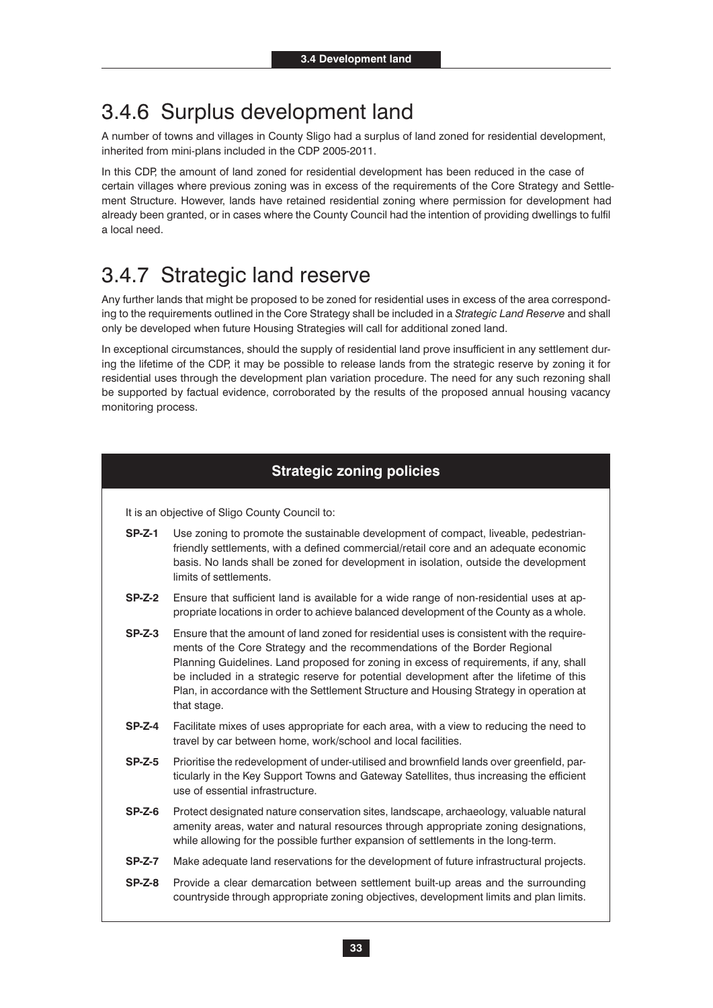### 3.4.6 Surplus development land

A number of towns and villages in County Sligo had a surplus of land zoned for residential development, inherited from mini-plans included in the CDP 2005-2011.

In this CDP, the amount of land zoned for residential development has been reduced in the case of certain villages where previous zoning was in excess of the requirements of the Core Strategy and Settlement Structure. However, lands have retained residential zoning where permission for development had already been granted, or in cases where the County Council had the intention of providing dwellings to fulfil a local need.

### 3.4.7 Strategic land reserve

Any further lands that might be proposed to be zoned for residential uses in excess of the area corresponding to the requirements outlined in the Core Strategy shall be included in a *Strategic Land Reserve* and shall only be developed when future Housing Strategies will call for additional zoned land.

In exceptional circumstances, should the supply of residential land prove insufficient in any settlement during the lifetime of the CDP, it may be possible to release lands from the strategic reserve by zoning it for residential uses through the development plan variation procedure. The need for any such rezoning shall be supported by factual evidence, corroborated by the results of the proposed annual housing vacancy monitoring process.

### **Strategic zoning policies**

It is an objective of Sligo County Council to:

- **SP-Z-1** Use zoning to promote the sustainable development of compact, liveable, pedestrianfriendly settlements, with a defined commercial/retail core and an adequate economic basis. No lands shall be zoned for development in isolation, outside the development limits of settlements.
- **SP-Z-2** Ensure that sufficient land is available for a wide range of non-residential uses at appropriate locations in order to achieve balanced development of the County as a whole.
- **SP-Z-3** Ensure that the amount of land zoned for residential uses is consistent with the requirements of the Core Strategy and the recommendations of the Border Regional Planning Guidelines. Land proposed for zoning in excess of requirements, if any, shall be included in a strategic reserve for potential development after the lifetime of this Plan, in accordance with the Settlement Structure and Housing Strategy in operation at that stage.
- **SP-Z-4** Facilitate mixes of uses appropriate for each area, with a view to reducing the need to travel by car between home, work/school and local facilities.
- **SP-Z-5** Prioritise the redevelopment of under-utilised and brownfield lands over greenfield, particularly in the Key Support Towns and Gateway Satellites, thus increasing the efficient use of essential infrastructure.
- **SP-Z-6** Protect designated nature conservation sites, landscape, archaeology, valuable natural amenity areas, water and natural resources through appropriate zoning designations, while allowing for the possible further expansion of settlements in the long-term.
- **SP-Z-7** Make adequate land reservations for the development of future infrastructural projects.
- **SP-Z-8** Provide a clear demarcation between settlement built-up areas and the surrounding countryside through appropriate zoning objectives, development limits and plan limits.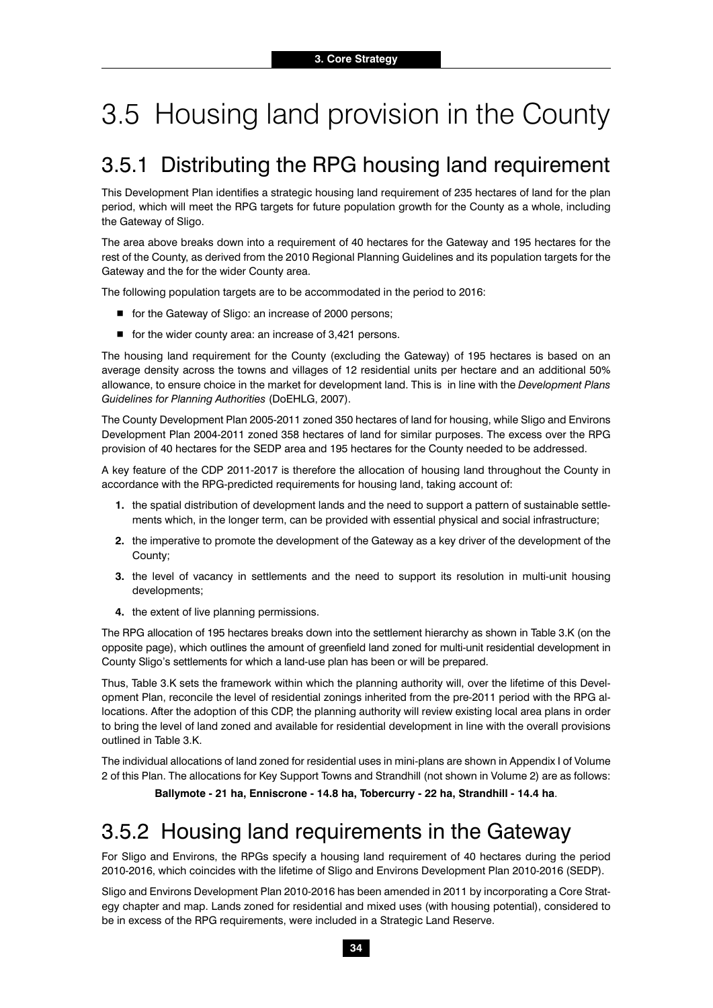# 3.5 Housing land provision in the County

### 3.5.1 Distributing the RPG housing land requirement

This Development Plan identifies a strategic housing land requirement of 235 hectares of land for the plan period, which will meet the RPG targets for future population growth for the County as a whole, including the Gateway of Sligo.

The area above breaks down into a requirement of 40 hectares for the Gateway and 195 hectares for the rest of the County, as derived from the 2010 Regional Planning Guidelines and its population targets for the Gateway and the for the wider County area.

The following population targets are to be accommodated in the period to 2016:

- for the Gateway of Sligo: an increase of 2000 persons;
- for the wider county area: an increase of 3,421 persons.

The housing land requirement for the County (excluding the Gateway) of 195 hectares is based on an average density across the towns and villages of 12 residential units per hectare and an additional 50% allowance, to ensure choice in the market for development land. This is in line with the *Development Plans Guidelines for Planning Authorities* (DoEHLG, 2007).

The County Development Plan 2005-2011 zoned 350 hectares of land for housing, while Sligo and Environs Development Plan 2004-2011 zoned 358 hectares of land for similar purposes. The excess over the RPG provision of 40 hectares for the SEDP area and 195 hectares for the County needed to be addressed.

A key feature of the CDP 2011-2017 is therefore the allocation of housing land throughout the County in accordance with the RPG-predicted requirements for housing land, taking account of:

- **1.** the spatial distribution of development lands and the need to support a pattern of sustainable settlements which, in the longer term, can be provided with essential physical and social infrastructure;
- **2.** the imperative to promote the development of the Gateway as a key driver of the development of the County;
- **3.** the level of vacancy in settlements and the need to support its resolution in multi-unit housing developments;
- **4.** the extent of live planning permissions.

The RPG allocation of 195 hectares breaks down into the settlement hierarchy as shown in Table 3.K (on the opposite page), which outlines the amount of greenfield land zoned for multi-unit residential development in County Sligo's settlements for which a land-use plan has been or will be prepared.

Thus, Table 3.K sets the framework within which the planning authority will, over the lifetime of this Development Plan, reconcile the level of residential zonings inherited from the pre-2011 period with the RPG allocations. After the adoption of this CDP, the planning authority will review existing local area plans in order to bring the level of land zoned and available for residential development in line with the overall provisions outlined in Table 3.K.

The individual allocations of land zoned for residential uses in mini-plans are shown in Appendix I of Volume 2 of this Plan. The allocations for Key Support Towns and Strandhill (not shown in Volume 2) are as follows:

**Ballymote - 21 ha, Enniscrone - 14.8 ha, Tobercurry - 22 ha, Strandhill - 14.4 ha**.

### 3.5.2 Housing land requirements in the Gateway

For Sligo and Environs, the RPGs specify a housing land requirement of 40 hectares during the period 2010-2016, which coincides with the lifetime of Sligo and Environs Development Plan 2010-2016 (SEDP).

Sligo and Environs Development Plan 2010-2016 has been amended in 2011 by incorporating a Core Strategy chapter and map. Lands zoned for residential and mixed uses (with housing potential), considered to be in excess of the RPG requirements, were included in a Strategic Land Reserve.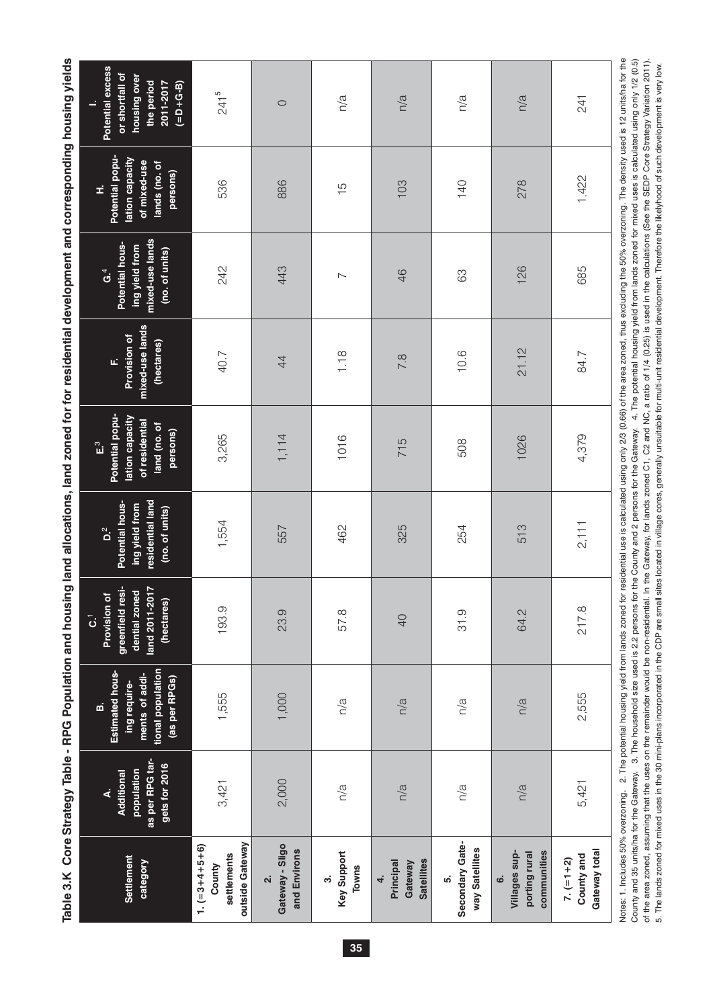Table 3.K Core Strategy Table - RPG Population and housing land allocations, land zoned for for residential development and corresponding housing yields **Table 3.K Core Strategy Table - RPG Population and housing land allocations, land zoned for for residential development and corresponding housing yields**

| Settlement<br>category                                      | as per RPG tar-<br>gets for 2016<br>population<br>Additional<br>∢ | tional population<br><b>Estimated hous-</b><br>ments of addi-<br>(as per RPGs)<br>ing require-<br>ø                                                                                                                                                                                   | greenfield resi-<br>N<br>dential zoned<br>Provision of<br>land 2011-201<br>(hectares)<br>$\vec{\omega}$ | residential land<br>Potential hous-<br>ing yield from<br>(no. of units)<br>$\mathbf{D}^2$ | Potential popu-<br>lation capacity<br>of residential<br>land (no. of<br>persons)<br>$\int_{a}^{\infty}$ | mixed-use lands<br>Provision of<br>(hectares)<br>u. | mixed-use lands<br>Potential hous-<br>ing yield from<br>(no. of units)<br>$G^4$ | Potential popu-<br>lation capacity<br>of mixed-use<br>lands (no. of<br>persons)<br>£ | Potential excess<br>or shortfall of<br>housing over<br>the period<br>2011-2017<br>$(=D+G-B)$                                                      |
|-------------------------------------------------------------|-------------------------------------------------------------------|---------------------------------------------------------------------------------------------------------------------------------------------------------------------------------------------------------------------------------------------------------------------------------------|---------------------------------------------------------------------------------------------------------|-------------------------------------------------------------------------------------------|---------------------------------------------------------------------------------------------------------|-----------------------------------------------------|---------------------------------------------------------------------------------|--------------------------------------------------------------------------------------|---------------------------------------------------------------------------------------------------------------------------------------------------|
| outside Gateway<br>$1. (=3+4+5+6)$<br>settlements<br>County | 3,421                                                             | 1,555                                                                                                                                                                                                                                                                                 | 193.9                                                                                                   | 1,554                                                                                     | 3,265                                                                                                   | 40.7                                                | 242                                                                             | 536                                                                                  | $241^{5}$                                                                                                                                         |
| Gateway - Sligo<br>and Environs<br>$\overline{\mathbf{v}}$  | 2,000                                                             | 1,000                                                                                                                                                                                                                                                                                 | 23.9                                                                                                    | 557                                                                                       | 1,114                                                                                                   | 44                                                  | 443                                                                             | 886                                                                                  | $\circ$                                                                                                                                           |
| Key Support<br>Towns<br>$\dot{\mathfrak{G}}$                | n/a                                                               | n/a                                                                                                                                                                                                                                                                                   | 57.8                                                                                                    | 462                                                                                       | 1016                                                                                                    | 1.18                                                | $\sim$                                                                          | $\frac{5}{1}$                                                                        | n/a                                                                                                                                               |
| <b>Satellites</b><br>Principal<br>Gateway<br>4.             | n/a                                                               | n/a                                                                                                                                                                                                                                                                                   | $\overline{Q}$                                                                                          | 325                                                                                       | 715                                                                                                     | 7.8                                                 | 46                                                                              | 103                                                                                  | n/a                                                                                                                                               |
| Secondary Gate-<br>way Satellites<br>ທ່                     | n/a                                                               | n/a                                                                                                                                                                                                                                                                                   | 31.9                                                                                                    | 254                                                                                       | 508                                                                                                     | 10.6                                                | යි                                                                              | 140                                                                                  | n/a                                                                                                                                               |
| communities<br>Villages sup-<br>porting rural<br><u>ය</u>   | n/a                                                               | n/a                                                                                                                                                                                                                                                                                   | 64.2                                                                                                    | 513                                                                                       | 1026                                                                                                    | 21.12                                               | 126                                                                             | 278                                                                                  | n/a                                                                                                                                               |
| Gateway total<br>County and<br>$7. (= 1 + 2)$               | 5,421                                                             | 2,555                                                                                                                                                                                                                                                                                 | 217.8                                                                                                   | 2,111                                                                                     | 4,379                                                                                                   | 84.7                                                | 685                                                                             | 1,422                                                                                | 241                                                                                                                                               |
| Notes: 1. Includes 50% overzoning.                          |                                                                   | UNIVERSIDE University of the Contrast Contrast on the Contrast Contrast On the Contrast Open Contrast On the contrast of the contrast of the contrast of the contrast of the contrast of the contrast of the contrast of the c<br>2. The potential housing yield from lands zoned for |                                                                                                         |                                                                                           |                                                                                                         |                                                     |                                                                                 |                                                                                      | residential use is calculated using only 2/3 (0.66) of the area zoned, thus excluding the 50% overzoning. The density used is 12 units/ha for the |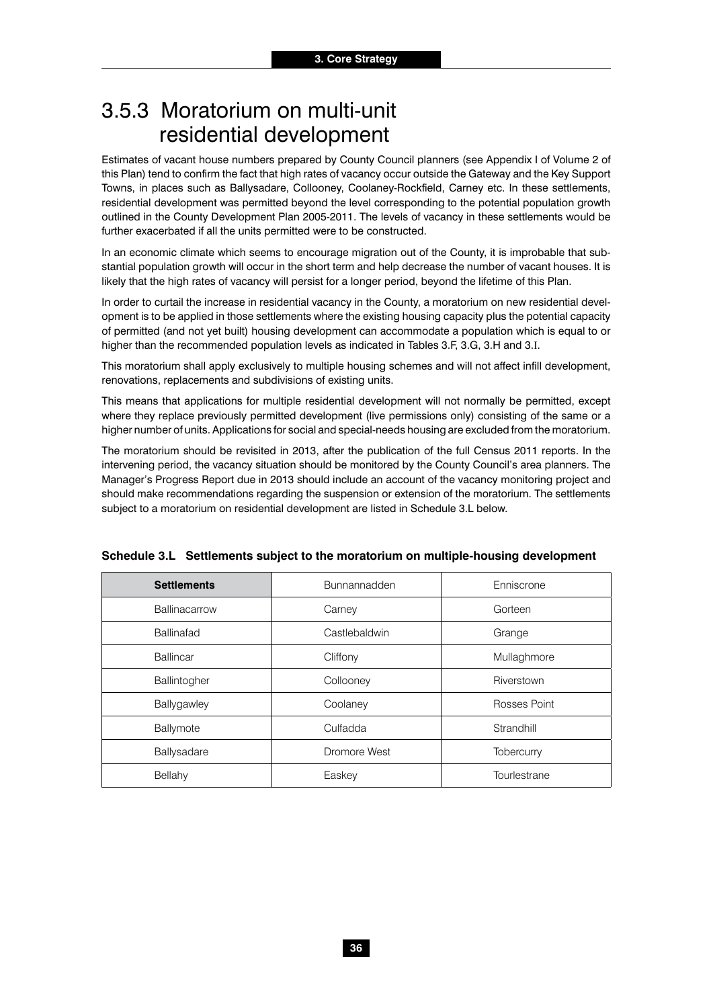### 3.5.3 Moratorium on multi-unit residential development

Estimates of vacant house numbers prepared by County Council planners (see Appendix I of Volume 2 of this Plan) tend to confirm the fact that high rates of vacancy occur outside the Gateway and the Key Support Towns, in places such as Ballysadare, Collooney, Coolaney-Rockfield, Carney etc. In these settlements, residential development was permitted beyond the level corresponding to the potential population growth outlined in the County Development Plan 2005-2011. The levels of vacancy in these settlements would be further exacerbated if all the units permitted were to be constructed.

In an economic climate which seems to encourage migration out of the County, it is improbable that substantial population growth will occur in the short term and help decrease the number of vacant houses. It is likely that the high rates of vacancy will persist for a longer period, beyond the lifetime of this Plan.

In order to curtail the increase in residential vacancy in the County, a moratorium on new residential development is to be applied in those settlements where the existing housing capacity plus the potential capacity of permitted (and not yet built) housing development can accommodate a population which is equal to or higher than the recommended population levels as indicated in Tables 3.F, 3.G, 3.H and 3.I.

This moratorium shall apply exclusively to multiple housing schemes and will not affect infill development, renovations, replacements and subdivisions of existing units.

This means that applications for multiple residential development will not normally be permitted, except where they replace previously permitted development (live permissions only) consisting of the same or a higher number of units. Applications for social and special-needs housing are excluded from the moratorium.

The moratorium should be revisited in 2013, after the publication of the full Census 2011 reports. In the intervening period, the vacancy situation should be monitored by the County Council's area planners. The Manager's Progress Report due in 2013 should include an account of the vacancy monitoring project and should make recommendations regarding the suspension or extension of the moratorium. The settlements subject to a moratorium on residential development are listed in Schedule 3.L below.

| <b>Settlements</b> | <b>Bunnannadden</b> | Enniscrone   |
|--------------------|---------------------|--------------|
| Ballinacarrow      | Carney              | Gorteen      |
| <b>Ballinafad</b>  | Castlebaldwin       | Grange       |
| <b>Ballincar</b>   | Cliffony            | Mullaghmore  |
| Ballintogher       | Collooney           | Riverstown   |
| Ballygawley        | Coolaney            | Rosses Point |
| Ballymote          | Culfadda            | Strandhill   |
| Ballysadare        | Dromore West        | Tobercurry   |
| Bellahy            | Easkey              | Tourlestrane |

#### **Schedule 3.L Settlements subject to the moratorium on multiple-housing development**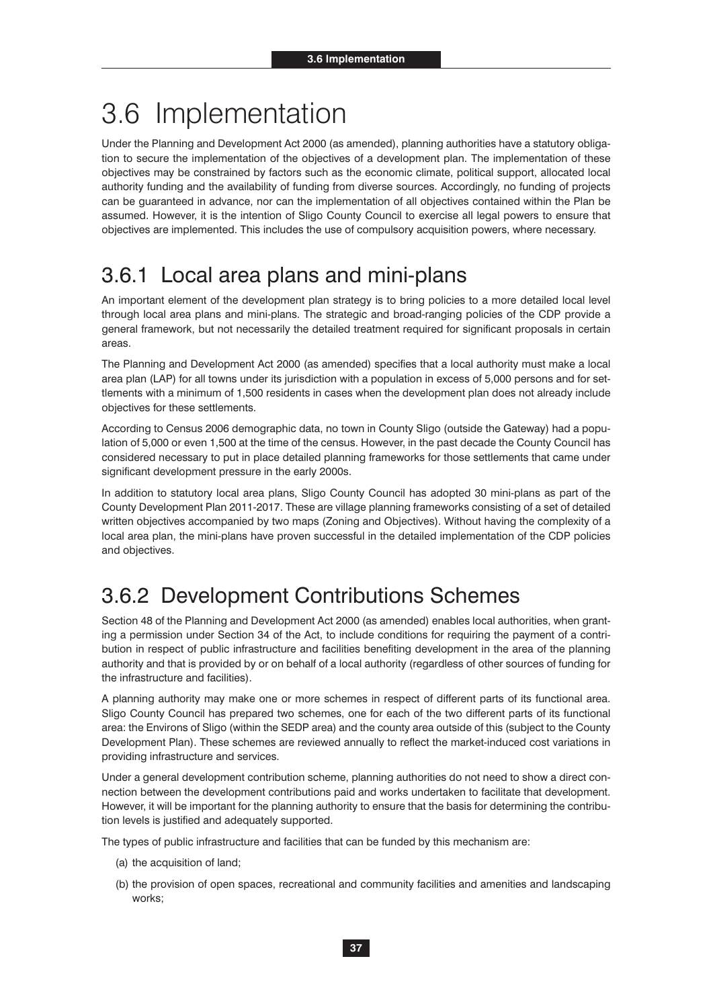# 3.6 Implementation

Under the Planning and Development Act 2000 (as amended), planning authorities have a statutory obligation to secure the implementation of the objectives of a development plan. The implementation of these objectives may be constrained by factors such as the economic climate, political support, allocated local authority funding and the availability of funding from diverse sources. Accordingly, no funding of projects can be guaranteed in advance, nor can the implementation of all objectives contained within the Plan be assumed. However, it is the intention of Sligo County Council to exercise all legal powers to ensure that objectives are implemented. This includes the use of compulsory acquisition powers, where necessary.

### 3.6.1 Local area plans and mini-plans

An important element of the development plan strategy is to bring policies to a more detailed local level through local area plans and mini-plans. The strategic and broad-ranging policies of the CDP provide a general framework, but not necessarily the detailed treatment required for significant proposals in certain areas.

The Planning and Development Act 2000 (as amended) specifies that a local authority must make a local area plan (LAP) for all towns under its jurisdiction with a population in excess of 5,000 persons and for settlements with a minimum of 1,500 residents in cases when the development plan does not already include objectives for these settlements.

According to Census 2006 demographic data, no town in County Sligo (outside the Gateway) had a population of 5,000 or even 1,500 at the time of the census. However, in the past decade the County Council has considered necessary to put in place detailed planning frameworks for those settlements that came under significant development pressure in the early 2000s.

In addition to statutory local area plans, Sligo County Council has adopted 30 mini-plans as part of the County Development Plan 2011-2017. These are village planning frameworks consisting of a set of detailed written objectives accompanied by two maps (Zoning and Objectives). Without having the complexity of a local area plan, the mini-plans have proven successful in the detailed implementation of the CDP policies and objectives.

### 3.6.2 Development Contributions Schemes

Section 48 of the Planning and Development Act 2000 (as amended) enables local authorities, when granting a permission under Section 34 of the Act, to include conditions for requiring the payment of a contribution in respect of public infrastructure and facilities benefiting development in the area of the planning authority and that is provided by or on behalf of a local authority (regardless of other sources of funding for the infrastructure and facilities).

A planning authority may make one or more schemes in respect of different parts of its functional area. Sligo County Council has prepared two schemes, one for each of the two different parts of its functional area: the Environs of Sligo (within the SEDP area) and the county area outside of this (subject to the County Development Plan). These schemes are reviewed annually to reflect the market-induced cost variations in providing infrastructure and services.

Under a general development contribution scheme, planning authorities do not need to show a direct connection between the development contributions paid and works undertaken to facilitate that development. However, it will be important for the planning authority to ensure that the basis for determining the contribution levels is justified and adequately supported.

The types of public infrastructure and facilities that can be funded by this mechanism are:

- (a) the acquisition of land;
- (b) the provision of open spaces, recreational and community facilities and amenities and landscaping works;